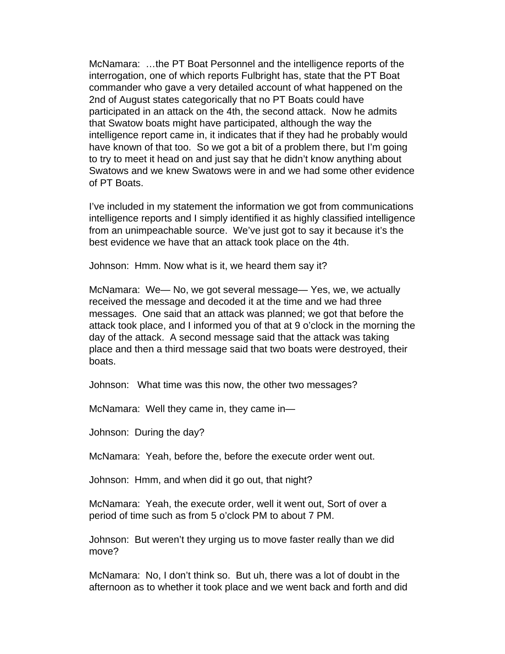McNamara: …the PT Boat Personnel and the intelligence reports of the interrogation, one of which reports Fulbright has, state that the PT Boat commander who gave a very detailed account of what happened on the 2nd of August states categorically that no PT Boats could have participated in an attack on the 4th, the second attack. Now he admits that Swatow boats might have participated, although the way the intelligence report came in, it indicates that if they had he probably would have known of that too. So we got a bit of a problem there, but I'm going to try to meet it head on and just say that he didn't know anything about Swatows and we knew Swatows were in and we had some other evidence of PT Boats.

I've included in my statement the information we got from communications intelligence reports and I simply identified it as highly classified intelligence from an unimpeachable source. We've just got to say it because it's the best evidence we have that an attack took place on the 4th.

Johnson: Hmm. Now what is it, we heard them say it?

McNamara: We— No, we got several message— Yes, we, we actually received the message and decoded it at the time and we had three messages. One said that an attack was planned; we got that before the attack took place, and I informed you of that at 9 o'clock in the morning the day of the attack. A second message said that the attack was taking place and then a third message said that two boats were destroyed, their boats.

Johnson: What time was this now, the other two messages?

McNamara: Well they came in, they came in—

Johnson: During the day?

McNamara: Yeah, before the, before the execute order went out.

Johnson: Hmm, and when did it go out, that night?

McNamara: Yeah, the execute order, well it went out, Sort of over a period of time such as from 5 o'clock PM to about 7 PM.

Johnson: But weren't they urging us to move faster really than we did move?

McNamara: No, I don't think so. But uh, there was a lot of doubt in the afternoon as to whether it took place and we went back and forth and did